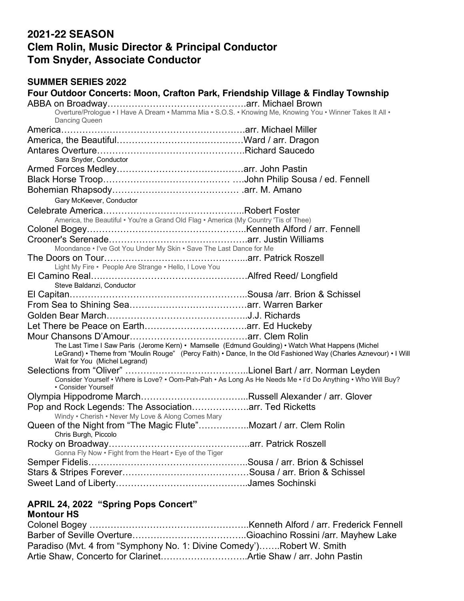## **2021-22 SEASON Clem Rolin, Music Director & Principal Conductor Tom Snyder, Associate Conductor**

#### **SUMMER SERIES 2022**

| Four Outdoor Concerts: Moon, Crafton Park, Friendship Village & Findlay Township                                                                                                                                                                       |  |
|--------------------------------------------------------------------------------------------------------------------------------------------------------------------------------------------------------------------------------------------------------|--|
|                                                                                                                                                                                                                                                        |  |
| Overture/Prologue • I Have A Dream • Mamma Mia • S.O.S. • Knowing Me, Knowing You • Winner Takes It All •<br>Dancing Queen                                                                                                                             |  |
|                                                                                                                                                                                                                                                        |  |
|                                                                                                                                                                                                                                                        |  |
|                                                                                                                                                                                                                                                        |  |
| Sara Snyder, Conductor                                                                                                                                                                                                                                 |  |
|                                                                                                                                                                                                                                                        |  |
|                                                                                                                                                                                                                                                        |  |
|                                                                                                                                                                                                                                                        |  |
| Gary McKeever, Conductor                                                                                                                                                                                                                               |  |
|                                                                                                                                                                                                                                                        |  |
| America, the Beautiful • You're a Grand Old Flag • America (My Country 'Tis of Thee)                                                                                                                                                                   |  |
|                                                                                                                                                                                                                                                        |  |
|                                                                                                                                                                                                                                                        |  |
| Moondance • I've Got You Under My Skin • Save The Last Dance for Me                                                                                                                                                                                    |  |
| Light My Fire · People Are Strange · Hello, I Love You                                                                                                                                                                                                 |  |
| Steve Baldanzi, Conductor                                                                                                                                                                                                                              |  |
|                                                                                                                                                                                                                                                        |  |
|                                                                                                                                                                                                                                                        |  |
|                                                                                                                                                                                                                                                        |  |
|                                                                                                                                                                                                                                                        |  |
|                                                                                                                                                                                                                                                        |  |
| The Last Time I Saw Paris (Jerome Kern) • Mamselle (Edmund Goulding) • Watch What Happens (Michel<br>LeGrand) • Theme from "Moulin Rouge" (Percy Faith) • Dance, In the Old Fashioned Way (Charles Aznevour) • I Will<br>Wait for You (Michel Legrand) |  |
|                                                                                                                                                                                                                                                        |  |
| Consider Yourself • Where is Love? • Oom-Pah-Pah • As Long As He Needs Me • I'd Do Anything • Who Will Buy?<br>• Consider Yourself                                                                                                                     |  |
|                                                                                                                                                                                                                                                        |  |
| Pop and Rock Legends: The Associationarr. Ted Ricketts<br>Windy . Cherish . Never My Love & Along Comes Mary                                                                                                                                           |  |
| Queen of the Night from "The Magic Flute"Mozart / arr. Clem Rolin                                                                                                                                                                                      |  |
| Chris Burgh, Piccolo                                                                                                                                                                                                                                   |  |
| Rocky on Broadway<br>Gonna Fly Now . Fight from the Heart . Eye of the Tiger                                                                                                                                                                           |  |
|                                                                                                                                                                                                                                                        |  |
|                                                                                                                                                                                                                                                        |  |
|                                                                                                                                                                                                                                                        |  |

## **APRIL 24, 2022 "Spring Pops Concert"**

## **Montour HS**

| Paradiso (Mvt. 4 from "Symphony No. 1: Divine Comedy")Robert W. Smith |  |
|-----------------------------------------------------------------------|--|
|                                                                       |  |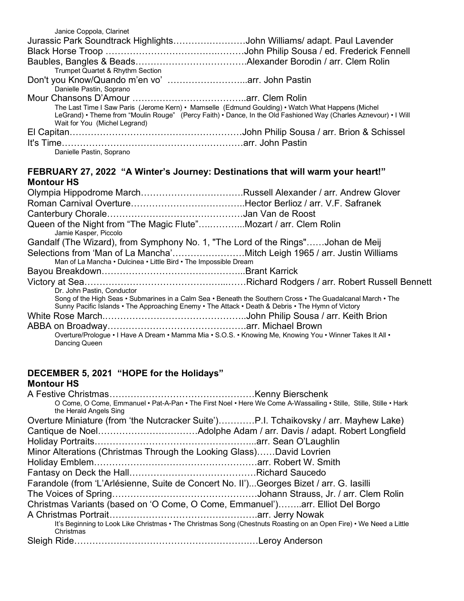| Jurassic Park Soundtrack HighlightsJohn Williams/ adapt. Paul Lavender                                           |
|------------------------------------------------------------------------------------------------------------------|
|                                                                                                                  |
|                                                                                                                  |
|                                                                                                                  |
| Don't you Know/Quando m'en vo' arr. John Pastin                                                                  |
|                                                                                                                  |
|                                                                                                                  |
| The Last Time I Saw Paris (Jerome Kern) • Mamselle (Edmund Goulding) • Watch What Happens (Michel                |
| LeGrand) • Theme from "Moulin Rouge" (Percy Faith) • Dance, In the Old Fashioned Way (Charles Aznevour) • I Will |
|                                                                                                                  |
|                                                                                                                  |
|                                                                                                                  |
|                                                                                                                  |
|                                                                                                                  |

#### **FEBRUARY 27, 2022 "A Winter's Journey: Destinations that will warm your heart!" Montour HS**

| Olympia Hippodrome MarchRussell Alexander / arr. Andrew Glover                                                                                                                                                   |  |
|------------------------------------------------------------------------------------------------------------------------------------------------------------------------------------------------------------------|--|
|                                                                                                                                                                                                                  |  |
|                                                                                                                                                                                                                  |  |
| Queen of the Night from "The Magic Flute"Mozart / arr. Clem Rolin<br>Jamie Kasper, Piccolo                                                                                                                       |  |
| Gandalf (The Wizard), from Symphony No. 1, "The Lord of the Rings"Johan de Meij                                                                                                                                  |  |
| Selections from 'Man of La Mancha'Mitch Leigh 1965 / arr. Justin Williams                                                                                                                                        |  |
| Man of La Mancha • Dulcinea • Little Bird • The Impossible Dream                                                                                                                                                 |  |
|                                                                                                                                                                                                                  |  |
|                                                                                                                                                                                                                  |  |
| Dr. John Pastin, Conductor                                                                                                                                                                                       |  |
| Song of the High Seas • Submarines in a Calm Sea • Beneath the Southern Cross • The Guadalcanal March • The<br>Sunny Pacific Islands • The Approaching Enemy • The Attack • Death & Debris • The Hymn of Victory |  |
|                                                                                                                                                                                                                  |  |
|                                                                                                                                                                                                                  |  |
| Overture/Prologue • I Have A Dream • Mamma Mia • S.O.S. • Knowing Me, Knowing You • Winner Takes It All •<br>Dancing Queen                                                                                       |  |

#### **DECEMBER 5, 2021 "HOPE for the Holidays" Montour HS**

| O Come, O Come, Emmanuel • Pat-A-Pan • The First Noel • Here We Come A-Wassailing • Stille, Stille, Stille • Hark               |  |
|---------------------------------------------------------------------------------------------------------------------------------|--|
| the Herald Angels Sing                                                                                                          |  |
| Overture Miniature (from 'the Nutcracker Suite')P.I. Tchaikovsky / arr. Mayhew Lake)                                            |  |
|                                                                                                                                 |  |
|                                                                                                                                 |  |
| Minor Alterations (Christmas Through the Looking Glass)David Lovrien                                                            |  |
|                                                                                                                                 |  |
|                                                                                                                                 |  |
| Farandole (from 'L'Arlésienne, Suite de Concert No. II')Georges Bizet / arr. G. lasilli                                         |  |
|                                                                                                                                 |  |
| Christmas Variants (based on 'O Come, O Come, Emmanuel')arr. Elliot Del Borgo                                                   |  |
|                                                                                                                                 |  |
| It's Beginning to Look Like Christmas • The Christmas Song (Chestnuts Roasting on an Open Fire) • We Need a Little<br>Christmas |  |
|                                                                                                                                 |  |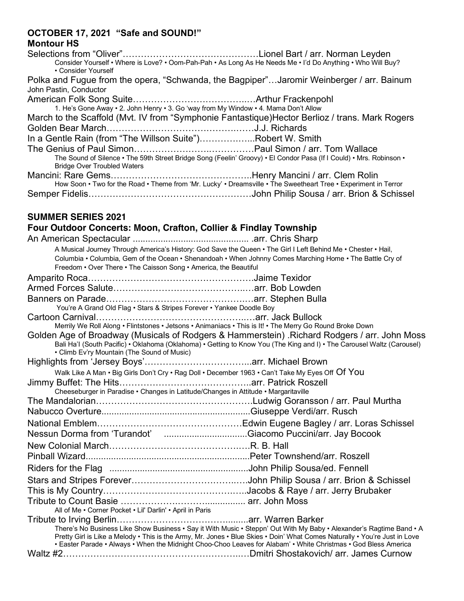# **OCTOBER 17, 2021 "Safe and SOUND!"**

| <b>Montour HS</b>                                                                   |                                                                                                                     |
|-------------------------------------------------------------------------------------|---------------------------------------------------------------------------------------------------------------------|
|                                                                                     |                                                                                                                     |
| • Consider Yourself                                                                 | Consider Yourself • Where is Love? • Oom-Pah-Pah • As Long As He Needs Me • I'd Do Anything • Who Will Buy?         |
|                                                                                     | Polka and Fugue from the opera, "Schwanda, the Bagpiper"Jaromir Weinberger / arr. Bainum                            |
| John Pastin, Conductor                                                              |                                                                                                                     |
|                                                                                     |                                                                                                                     |
| 1. He's Gone Away • 2. John Henry • 3. Go 'way from My Window • 4. Mama Don't Allow |                                                                                                                     |
|                                                                                     | March to the Scaffold (Mvt. IV from "Symphonie Fantastique)Hector Berlioz / trans. Mark Rogers                      |
|                                                                                     |                                                                                                                     |
| In a Gentle Rain (from "The Willson Suite")Robert W. Smith                          |                                                                                                                     |
|                                                                                     |                                                                                                                     |
|                                                                                     | The Sound of Silence • The 59th Street Bridge Song (Feelin' Groovy) • El Condor Pasa (If I Could) • Mrs. Robinson • |
| <b>Bridge Over Troubled Waters</b>                                                  |                                                                                                                     |
| Mancini: Rare Came                                                                  | Hanry Mancini / arr. Clam Rolin                                                                                     |

| How Soon . Two for the Road . Theme from 'Mr. Lucky' . Dreamsville . The Sweetheart Tree . Experiment in Terror |
|-----------------------------------------------------------------------------------------------------------------|
|                                                                                                                 |

### **SUMMER SERIES 2021**

## **Four Outdoor Concerts: Moon, Crafton, Collier & Findlay Township**

| A Musical Journey Through America's History: God Save the Queen • The Girl I Left Behind Me • Chester • Hail,                                                                                                                                                                                                                                                         |
|-----------------------------------------------------------------------------------------------------------------------------------------------------------------------------------------------------------------------------------------------------------------------------------------------------------------------------------------------------------------------|
| Columbia • Columbia, Gem of the Ocean • Shenandoah • When Johnny Comes Marching Home • The Battle Cry of                                                                                                                                                                                                                                                              |
| Freedom • Over There • The Caisson Song • America, the Beautiful                                                                                                                                                                                                                                                                                                      |
|                                                                                                                                                                                                                                                                                                                                                                       |
|                                                                                                                                                                                                                                                                                                                                                                       |
|                                                                                                                                                                                                                                                                                                                                                                       |
| You're A Grand Old Flag . Stars & Stripes Forever . Yankee Doodle Boy                                                                                                                                                                                                                                                                                                 |
|                                                                                                                                                                                                                                                                                                                                                                       |
| Merrily We Roll Along • Flintstones • Jetsons • Animaniacs • This is It! • The Merry Go Round Broke Down<br>Golden Age of Broadway (Musicals of Rodgers & Hammerstein) . Richard Rodgers / arr. John Moss                                                                                                                                                             |
| Bali Ha'l (South Pacific) • Oklahoma (Oklahoma) • Getting to Know You (The King and I) • The Carousel Waltz (Carousel)                                                                                                                                                                                                                                                |
|                                                                                                                                                                                                                                                                                                                                                                       |
| Walk Like A Man • Big Girls Don't Cry • Rag Doll • December 1963 • Can't Take My Eyes Off Of You                                                                                                                                                                                                                                                                      |
|                                                                                                                                                                                                                                                                                                                                                                       |
| Cheeseburger in Paradise · Changes in Latitude/Changes in Attitude · Margaritaville                                                                                                                                                                                                                                                                                   |
|                                                                                                                                                                                                                                                                                                                                                                       |
|                                                                                                                                                                                                                                                                                                                                                                       |
|                                                                                                                                                                                                                                                                                                                                                                       |
| Nessun Dorma from 'Turandot' Giacomo Puccini/arr. Jay Bocook                                                                                                                                                                                                                                                                                                          |
|                                                                                                                                                                                                                                                                                                                                                                       |
|                                                                                                                                                                                                                                                                                                                                                                       |
|                                                                                                                                                                                                                                                                                                                                                                       |
|                                                                                                                                                                                                                                                                                                                                                                       |
|                                                                                                                                                                                                                                                                                                                                                                       |
|                                                                                                                                                                                                                                                                                                                                                                       |
|                                                                                                                                                                                                                                                                                                                                                                       |
|                                                                                                                                                                                                                                                                                                                                                                       |
| There's No Business Like Show Business • Say it With Music • Steppn' Out With My Baby • Alexander's Ragtime Band • A<br>Pretty Girl is Like a Melody • This is the Army, Mr. Jones • Blue Skies • Doin' What Comes Naturally • You're Just in Love<br>• Easter Parade • Always • When the Midnight Choo-Choo Leaves for Alabam' • White Christmas • God Bless America |
|                                                                                                                                                                                                                                                                                                                                                                       |
|                                                                                                                                                                                                                                                                                                                                                                       |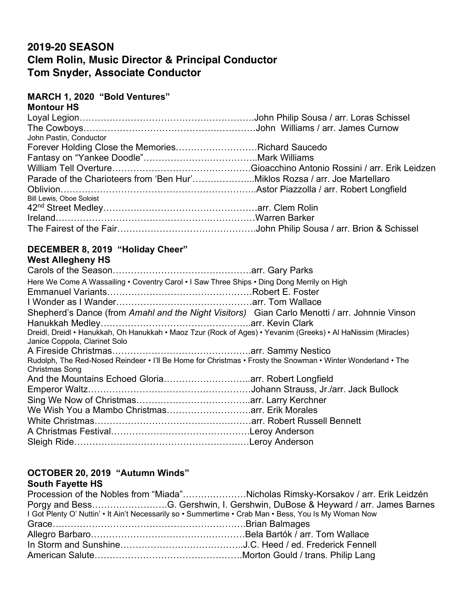## **2019-20 SEASON Clem Rolin, Music Director & Principal Conductor Tom Snyder, Associate Conductor**

## **MARCH 1, 2020 "Bold Ventures"**

| <b>Montour HS</b>                                                          |  |
|----------------------------------------------------------------------------|--|
|                                                                            |  |
|                                                                            |  |
| John Pastin, Conductor                                                     |  |
| Forever Holding Close the MemoriesRichard Saucedo                          |  |
|                                                                            |  |
|                                                                            |  |
| Parade of the Charioteers from 'Ben Hur'Miklos Rozsa / arr. Joe Martellaro |  |
|                                                                            |  |
| <b>Bill Lewis, Oboe Soloist</b>                                            |  |
|                                                                            |  |
|                                                                            |  |
|                                                                            |  |

#### **DECEMBER 8, 2019 "Holiday Cheer" West Allegheny HS**

| Here We Come A Wassailing • Coventry Carol • I Saw Three Ships • Ding Dong Merrily on High                                                     |  |
|------------------------------------------------------------------------------------------------------------------------------------------------|--|
|                                                                                                                                                |  |
|                                                                                                                                                |  |
| Shepherd's Dance (from Amahl and the Night Visitors) Gian Carlo Menotti / arr. Johnnie Vinson                                                  |  |
|                                                                                                                                                |  |
| Dreidl, Dreidl • Hanukkah, Oh Hanukkah • Maoz Tzur (Rock of Ages) • Yevanim (Greeks) • Al HaNissim (Miracles)<br>Janice Coppola, Clarinet Solo |  |
|                                                                                                                                                |  |
| Rudolph, The Red-Nosed Reindeer • I'll Be Home for Christmas • Frosty the Snowman • Winter Wonderland • The<br>Christmas Song                  |  |
| And the Mountains Echoed Gloriaarr. Robert Longfield                                                                                           |  |
|                                                                                                                                                |  |
|                                                                                                                                                |  |
|                                                                                                                                                |  |
|                                                                                                                                                |  |
|                                                                                                                                                |  |
|                                                                                                                                                |  |

#### **OCTOBER 20, 2019 "Autumn Winds" South Fayette HS**

| Procession of the Nobles from "Miada"Nicholas Rimsky-Korsakov / arr. Erik Leidzén                     |
|-------------------------------------------------------------------------------------------------------|
| Porgy and BessG. Gershwin, I. Gershwin, DuBose & Heyward / arr. James Barnes                          |
| I Got Plenty O' Nuttin' • It Ain't Necessarily so • Summertime • Crab Man • Bess, You Is My Woman Now |
|                                                                                                       |
|                                                                                                       |
|                                                                                                       |
|                                                                                                       |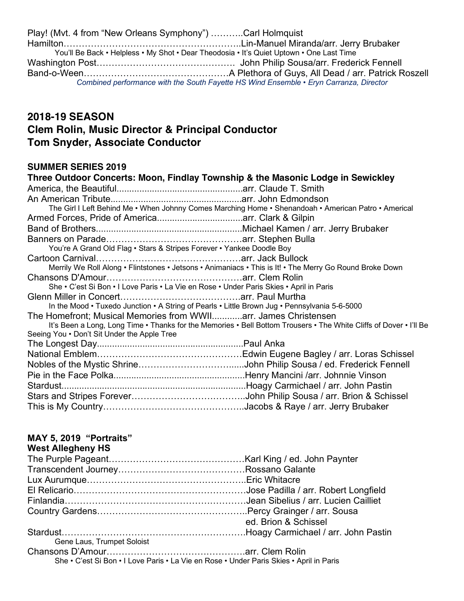Play! (Mvt. 4 from "New Orleans Symphony") ………..Carl Holmquist Hamilton…………………………………………………..Lin-Manuel Miranda/arr. Jerry Brubaker You'll Be Back • Helpless • My Shot • Dear Theodosia • It's Quiet Uptown • One Last Time Washington Post………………………………………. John Philip Sousa/arr. Frederick Fennell Band-o-Ween…………………………………………A Plethora of Guys, All Dead / arr. Patrick Roszell *Combined performance with the South Fayette HS Wind Ensemble • Eryn Carranza, Director*

## **2018-19 SEASON Clem Rolin, Music Director & Principal Conductor Tom Snyder, Associate Conductor**

#### **SUMMER SERIES 2019**

| Three Outdoor Concerts: Moon, Findlay Township & the Masonic Lodge in Sewickley                                    |  |
|--------------------------------------------------------------------------------------------------------------------|--|
|                                                                                                                    |  |
|                                                                                                                    |  |
| The Girl I Left Behind Me • When Johnny Comes Marching Home • Shenandoah • American Patro • Americal               |  |
|                                                                                                                    |  |
|                                                                                                                    |  |
|                                                                                                                    |  |
| You're A Grand Old Flag • Stars & Stripes Forever • Yankee Doodle Boy                                              |  |
|                                                                                                                    |  |
| Merrily We Roll Along • Flintstones • Jetsons • Animaniacs • This is It! • The Merry Go Round Broke Down           |  |
|                                                                                                                    |  |
| She • C'est Si Bon • I Love Paris • La Vie en Rose • Under Paris Skies • April in Paris                            |  |
|                                                                                                                    |  |
| In the Mood • Tuxedo Junction • A String of Pearls • Little Brown Jug • Pennsylvania 5-6-5000                      |  |
| The Homefront: Musical Memories from WWIIarr. James Christensen                                                    |  |
| It's Been a Long, Long Time • Thanks for the Memories • Bell Bottom Trousers • The White Cliffs of Dover • I'll Be |  |
| Seeing You . Don't Sit Under the Apple Tree                                                                        |  |
|                                                                                                                    |  |
|                                                                                                                    |  |
|                                                                                                                    |  |
|                                                                                                                    |  |
|                                                                                                                    |  |
|                                                                                                                    |  |
|                                                                                                                    |  |

## **MAY 5, 2019 "Portraits"**

#### **West Allegheny HS**

|                                                                                         | ed. Brion & Schissel |
|-----------------------------------------------------------------------------------------|----------------------|
|                                                                                         |                      |
| Gene Laus, Trumpet Soloist                                                              |                      |
|                                                                                         |                      |
| She • C'est Si Bon • I Love Paris • La Vie en Rose • Under Paris Skies • April in Paris |                      |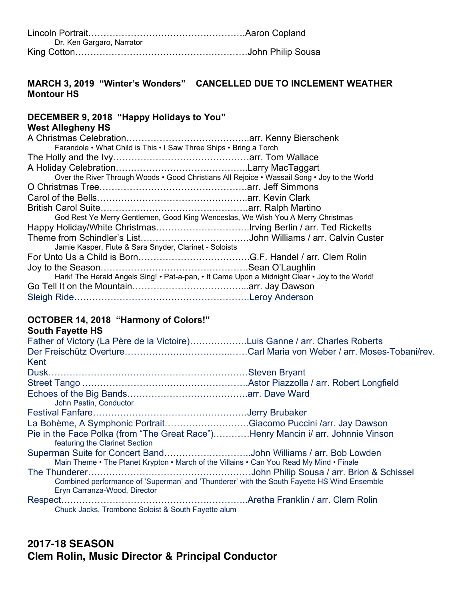| Dr. Ken Gargaro, Narrator |  |
|---------------------------|--|
|                           |  |

## **MARCH 3, 2019 "Winter's Wonders" CANCELLED DUE TO INCLEMENT WEATHER Montour HS**

#### **DECEMBER 9, 2018 "Happy Holidays to You"**

### **West Allegheny HS**

| Farandole • What Child is This • I Saw Three Ships • Bring a Torch                             |
|------------------------------------------------------------------------------------------------|
|                                                                                                |
|                                                                                                |
| Over the River Through Woods • Good Christians All Rejoice • Wassail Song • Joy to the World   |
|                                                                                                |
|                                                                                                |
|                                                                                                |
| God Rest Ye Merry Gentlemen, Good King Wenceslas, We Wish You A Merry Christmas                |
|                                                                                                |
|                                                                                                |
|                                                                                                |
|                                                                                                |
|                                                                                                |
| Hark! The Herald Angels Sing! • Pat-a-pan, • It Came Upon a Midnight Clear • Joy to the World! |
|                                                                                                |
|                                                                                                |
|                                                                                                |

#### **OCTOBER 14, 2018 "Harmony of Colors!" South Fayette HS**

| South Payette HS                                                                                                   |  |
|--------------------------------------------------------------------------------------------------------------------|--|
| Father of Victory (La Père de la Victoire)Luis Ganne / arr. Charles Roberts                                        |  |
|                                                                                                                    |  |
| Kent                                                                                                               |  |
|                                                                                                                    |  |
|                                                                                                                    |  |
|                                                                                                                    |  |
| John Pastin, Conductor                                                                                             |  |
|                                                                                                                    |  |
| La Bohème, A Symphonic PortraitGiacomo Puccini /arr. Jay Dawson                                                    |  |
| Pie in the Face Polka (from "The Great Race")Henry Mancin i/ arr. Johnnie Vinson<br>featuring the Clarinet Section |  |
| Superman Suite for Concert BandJohn Williams / arr. Bob Lowden                                                     |  |
| Main Theme • The Planet Krypton • March of the Villains • Can You Read My Mind • Finale                            |  |
|                                                                                                                    |  |
| Combined performance of 'Superman' and 'Thunderer' with the South Fayette HS Wind Ensemble                         |  |
| Eryn Carranza-Wood, Director                                                                                       |  |
|                                                                                                                    |  |
| Chuck Jacks, Trombone Soloist & South Fayette alum                                                                 |  |

## **2017-18 SEASON Clem Rolin, Music Director & Principal Conductor**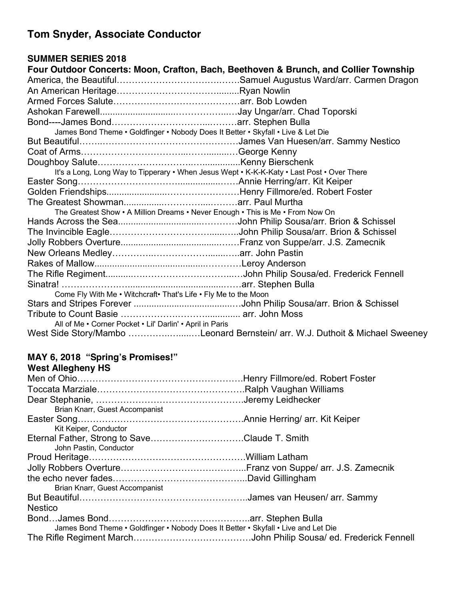# **Tom Snyder, Associate Conductor**

### **SUMMER SERIES 2018**

| Four Outdoor Concerts: Moon, Crafton, Bach, Beethoven & Brunch, and Collier Township       |  |
|--------------------------------------------------------------------------------------------|--|
|                                                                                            |  |
|                                                                                            |  |
|                                                                                            |  |
|                                                                                            |  |
|                                                                                            |  |
| James Bond Theme • Goldfinger • Nobody Does It Better • Skyfall • Live & Let Die           |  |
|                                                                                            |  |
|                                                                                            |  |
|                                                                                            |  |
| It's a Long, Long Way to Tipperary • When Jesus Wept • K-K-K-Katy • Last Post • Over There |  |
|                                                                                            |  |
|                                                                                            |  |
|                                                                                            |  |
| The Greatest Show • A Million Dreams • Never Enough • This is Me • From Now On             |  |
|                                                                                            |  |
|                                                                                            |  |
|                                                                                            |  |
|                                                                                            |  |
|                                                                                            |  |
|                                                                                            |  |
|                                                                                            |  |
| Come Fly With Me . Witchcraft. That's Life . Fly Me to the Moon                            |  |
|                                                                                            |  |
|                                                                                            |  |
| All of Me • Corner Pocket • Lil' Darlin' • April in Paris                                  |  |
| West Side Story/Mambo Leonard Bernstein/ arr. W.J. Duthoit & Michael Sweeney               |  |

# **MAY 6, 2018 "Spring's Promises!"**

## **West Allegheny HS**

| Brian Knarr, Guest Accompanist                                                     |  |
|------------------------------------------------------------------------------------|--|
|                                                                                    |  |
| Kit Keiper, Conductor                                                              |  |
| Eternal Father, Strong to SaveClaude T. Smith                                      |  |
| John Pastin, Conductor                                                             |  |
|                                                                                    |  |
|                                                                                    |  |
|                                                                                    |  |
| Brian Knarr, Guest Accompanist                                                     |  |
|                                                                                    |  |
| <b>Nestico</b>                                                                     |  |
|                                                                                    |  |
| James Bond Theme • Goldfinger • Nobody Does It Better • Skyfall • Live and Let Die |  |
|                                                                                    |  |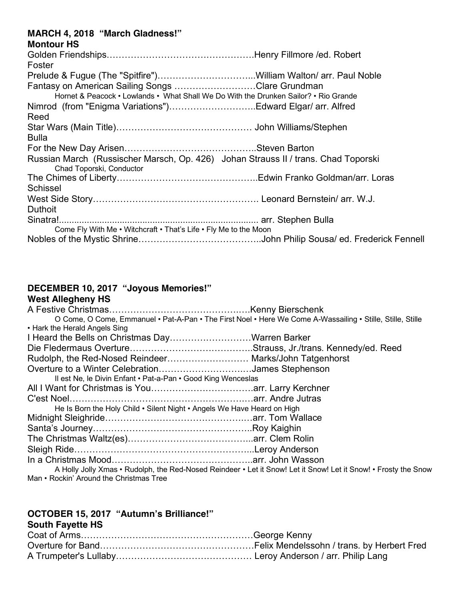#### **MARCH 4, 2018 "March Gladness!"**

| <b>Montour HS</b>                                                                                              |  |
|----------------------------------------------------------------------------------------------------------------|--|
|                                                                                                                |  |
| Foster                                                                                                         |  |
|                                                                                                                |  |
| Fantasy on American Sailing Songs Clare Grundman                                                               |  |
| Hornet & Peacock • Lowlands • What Shall We Do With the Drunken Sailor? • Rio Grande                           |  |
|                                                                                                                |  |
| Reed                                                                                                           |  |
|                                                                                                                |  |
| <b>Bulla</b>                                                                                                   |  |
|                                                                                                                |  |
| Russian March (Russischer Marsch, Op. 426) Johan Strauss II / trans. Chad Toporski<br>Chad Toporski, Conductor |  |
|                                                                                                                |  |
| Schissel                                                                                                       |  |
|                                                                                                                |  |
| <b>Duthoit</b>                                                                                                 |  |
|                                                                                                                |  |
| Come Fly With Me . Witchcraft . That's Life . Fly Me to the Moon                                               |  |
|                                                                                                                |  |

## **DECEMBER 10, 2017 "Joyous Memories!"**

| <b>West Allegheny HS</b>                                                                                                                                   |  |
|------------------------------------------------------------------------------------------------------------------------------------------------------------|--|
|                                                                                                                                                            |  |
| O Come, O Come, Emmanuel • Pat-A-Pan • The First Noel • Here We Come A-Wassailing • Stille, Stille, Stille at                                              |  |
| • Hark the Herald Angels Sing                                                                                                                              |  |
| I Heard the Bells on Christmas DayWarren Barker                                                                                                            |  |
|                                                                                                                                                            |  |
| Rudolph, the Red-Nosed Reindeer Marks/John Tatgenhorst                                                                                                     |  |
| Overture to a Winter CelebrationJames Stephenson                                                                                                           |  |
| Il est Ne, le Divin Enfant • Pat-a-Pan • Good King Wenceslas                                                                                               |  |
|                                                                                                                                                            |  |
|                                                                                                                                                            |  |
| He Is Born the Holy Child . Silent Night . Angels We Have Heard on High                                                                                    |  |
|                                                                                                                                                            |  |
|                                                                                                                                                            |  |
|                                                                                                                                                            |  |
|                                                                                                                                                            |  |
|                                                                                                                                                            |  |
| A Holly Jolly Xmas • Rudolph, the Red-Nosed Reindeer • Let it Snow! Let it Snow! Let it Snow! • Frosty the Snow<br>Man • Rockin' Around the Christmas Tree |  |

### **OCTOBER 15, 2017 "Autumn's Brilliance!"**

**South Fayette HS**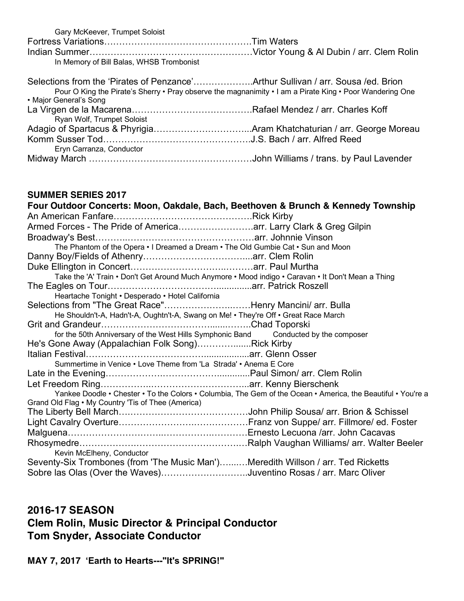| Gary McKeever, Trumpet Soloist                                                                                                                                                               |  |
|----------------------------------------------------------------------------------------------------------------------------------------------------------------------------------------------|--|
|                                                                                                                                                                                              |  |
| In Memory of Bill Balas, WHSB Trombonist                                                                                                                                                     |  |
| Selections from the 'Pirates of Penzance'Arthur Sullivan / arr. Sousa /ed. Brion<br>Pour O King the Pirate's Sherry • Pray observe the magnanimity • I am a Pirate King • Poor Wandering One |  |
| • Major General's Song                                                                                                                                                                       |  |
| Ryan Wolf, Trumpet Soloist                                                                                                                                                                   |  |
|                                                                                                                                                                                              |  |
|                                                                                                                                                                                              |  |
| Eryn Carranza, Conductor                                                                                                                                                                     |  |
|                                                                                                                                                                                              |  |

#### **SUMMER SERIES 2017**

| Four Outdoor Concerts: Moon, Oakdale, Bach, Beethoven & Brunch & Kennedy Township                            |  |
|--------------------------------------------------------------------------------------------------------------|--|
|                                                                                                              |  |
| Armed Forces - The Pride of Americaarr. Larry Clark & Greg Gilpin                                            |  |
|                                                                                                              |  |
| The Phantom of the Opera • I Dreamed a Dream • The Old Gumbie Cat • Sun and Moon                             |  |
|                                                                                                              |  |
|                                                                                                              |  |
| Take the 'A' Train • Don't Get Around Much Anymore • Mood indigo • Caravan • It Don't Mean a Thing           |  |
|                                                                                                              |  |
| Heartache Tonight • Desperado • Hotel California                                                             |  |
| Selections from "The Great Race"Henry Mancini/ arr. Bulla                                                    |  |
| He Shouldn't-A, Hadn't-A, Oughtn't-A, Swang on Me! • They're Off • Great Race March                          |  |
|                                                                                                              |  |
| for the 50th Anniversary of the West Hills Symphonic Band Conducted by the composer                          |  |
| He's Gone Away (Appalachian Folk Song)Rick Kirby                                                             |  |
|                                                                                                              |  |
| Summertime in Venice • Love Theme from 'La Strada' • Anema E Core                                            |  |
|                                                                                                              |  |
|                                                                                                              |  |
| Yankee Doodle • Chester • To the Colors • Columbia, The Gem of the Ocean • America, the Beautiful • You're a |  |
| Grand Old Flag • My Country 'Tis of Thee (America)                                                           |  |
|                                                                                                              |  |
|                                                                                                              |  |
|                                                                                                              |  |
|                                                                                                              |  |
| Kevin McElheny, Conductor                                                                                    |  |
| Seventy-Six Trombones (from 'The Music Man')Meredith Willson / arr. Ted Ricketts                             |  |
| Sobre las Olas (Over the Waves)Juventino Rosas / arr. Marc Oliver                                            |  |

## **2016-17 SEASON Clem Rolin, Music Director & Principal Conductor Tom Snyder, Associate Conductor**

**MAY 7, 2017 'Earth to Hearts---"It's SPRING!"**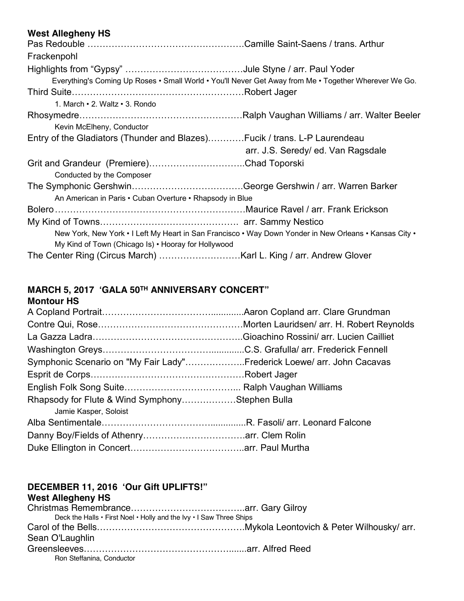#### **West Allegheny HS**

| Frackenpohl                                                                                            |                                    |  |
|--------------------------------------------------------------------------------------------------------|------------------------------------|--|
|                                                                                                        |                                    |  |
| Everything's Coming Up Roses • Small World • You'll Never Get Away from Me • Together Wherever We Go.  |                                    |  |
|                                                                                                        |                                    |  |
| 1. March $\cdot$ 2. Waltz $\cdot$ 3. Rondo                                                             |                                    |  |
|                                                                                                        |                                    |  |
| Kevin McElheny, Conductor                                                                              |                                    |  |
| Entry of the Gladiators (Thunder and Blazes)Fucik / trans. L-P Laurendeau                              |                                    |  |
|                                                                                                        | arr. J.S. Seredy/ ed. Van Ragsdale |  |
|                                                                                                        |                                    |  |
| Conducted by the Composer                                                                              |                                    |  |
|                                                                                                        |                                    |  |
| An American in Paris • Cuban Overture • Rhapsody in Blue                                               |                                    |  |
|                                                                                                        |                                    |  |
|                                                                                                        |                                    |  |
| New York, New York • I Left My Heart in San Francisco • Way Down Yonder in New Orleans • Kansas City • |                                    |  |
| My Kind of Town (Chicago Is) • Hooray for Hollywood                                                    |                                    |  |
|                                                                                                        |                                    |  |

# **MARCH 5, 2017 'GALA 50TH ANNIVERSARY CONCERT"**

### **Montour HS**

| Symphonic Scenario on "My Fair Lady"Frederick Loewe/ arr. John Cacavas |  |
|------------------------------------------------------------------------|--|
|                                                                        |  |
|                                                                        |  |
| Rhapsody for Flute & Wind SymphonyStephen Bulla                        |  |
| Jamie Kasper, Soloist                                                  |  |
|                                                                        |  |
|                                                                        |  |
|                                                                        |  |

#### **DECEMBER 11, 2016 'Our Gift UPLIFTS!" West Allegheny HS**

| Deck the Halls $\cdot$ First Noel $\cdot$ Holly and the Ivy $\cdot$ I Saw Three Ships |  |
|---------------------------------------------------------------------------------------|--|
|                                                                                       |  |
| Sean O'Laughlin                                                                       |  |
|                                                                                       |  |
| Ron Steffanina, Conductor                                                             |  |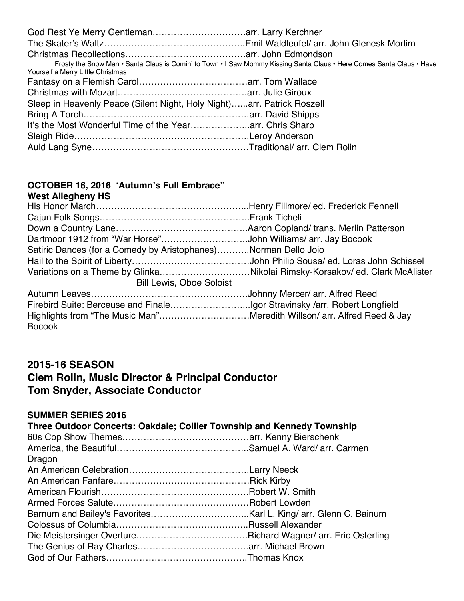|                                                                        | Frosty the Snow Man · Santa Claus is Comin' to Town · I Saw Mommy Kissing Santa Claus · Here Comes Santa Claus · Have |
|------------------------------------------------------------------------|-----------------------------------------------------------------------------------------------------------------------|
| Yourself a Merry Little Christmas                                      |                                                                                                                       |
|                                                                        |                                                                                                                       |
|                                                                        |                                                                                                                       |
| Sleep in Heavenly Peace (Silent Night, Holy Night)arr. Patrick Roszell |                                                                                                                       |
|                                                                        |                                                                                                                       |
|                                                                        |                                                                                                                       |
|                                                                        |                                                                                                                       |
|                                                                        |                                                                                                                       |

#### **OCTOBER 16, 2016 'Autumn's Full Embrace"**

| <b>West Allegheny HS</b>                                                   |  |
|----------------------------------------------------------------------------|--|
|                                                                            |  |
|                                                                            |  |
|                                                                            |  |
| Dartmoor 1912 from "War Horse"John Williams/ arr. Jay Bocook               |  |
| Satiric Dances (for a Comedy by Aristophanes)Norman Dello Joio             |  |
|                                                                            |  |
| Variations on a Theme by GlinkaNikolai Rimsky-Korsakov/ed. Clark McAlister |  |
| <b>Bill Lewis, Oboe Soloist</b>                                            |  |
|                                                                            |  |
|                                                                            |  |
| Highlights from "The Music Man"Meredith Willson/ arr. Alfred Reed & Jay    |  |
| <b>Bocook</b>                                                              |  |
|                                                                            |  |

## **2015-16 SEASON Clem Rolin, Music Director & Principal Conductor Tom Snyder, Associate Conductor**

## **SUMMER SERIES 2016**

| Three Outdoor Concerts: Oakdale; Collier Township and Kennedy Township |  |
|------------------------------------------------------------------------|--|
|                                                                        |  |
|                                                                        |  |
| Dragon                                                                 |  |
|                                                                        |  |
|                                                                        |  |
|                                                                        |  |
|                                                                        |  |
|                                                                        |  |
|                                                                        |  |
|                                                                        |  |
|                                                                        |  |
|                                                                        |  |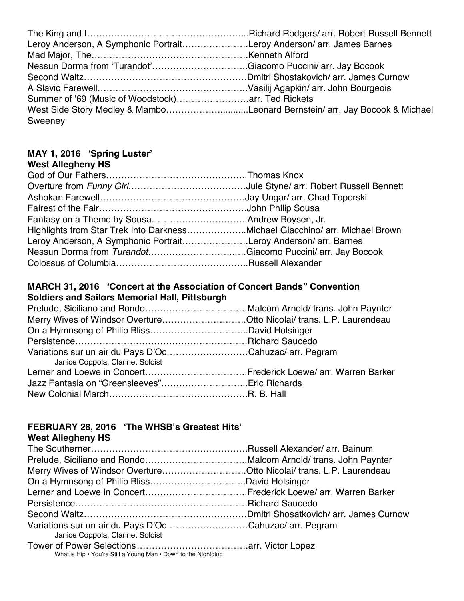| Leroy Anderson, A Symphonic PortraitLeroy Anderson/ arr. James Barnes      |  |
|----------------------------------------------------------------------------|--|
|                                                                            |  |
| Nessun Dorma from 'Turandot'Giacomo Puccini/ arr. Jay Bocook               |  |
|                                                                            |  |
|                                                                            |  |
|                                                                            |  |
| West Side Story Medley & MamboLeonard Bernstein/ arr. Jay Bocook & Michael |  |
| Sweeney                                                                    |  |

#### **MAY 1, 2016 'Spring Luster' West Allegheny HS**

| Highlights from Star Trek Into DarknessMichael Giacchino/ arr. Michael Brown |  |
|------------------------------------------------------------------------------|--|
| Leroy Anderson, A Symphonic PortraitLeroy Anderson/ arr. Barnes              |  |
|                                                                              |  |
|                                                                              |  |
|                                                                              |  |

#### **MARCH 31, 2016 'Concert at the Association of Concert Bands" Convention Soldiers and Sailors Memorial Hall, Pittsburgh**

| Merry Wives of Windsor OvertureOtto Nicolai/ trans. L.P. Laurendeau                        |  |
|--------------------------------------------------------------------------------------------|--|
|                                                                                            |  |
|                                                                                            |  |
| Variations sur un air du Pays D'OcCahuzac/ arr. Pegram<br>Janice Coppola, Clarinet Soloist |  |
|                                                                                            |  |
|                                                                                            |  |
|                                                                                            |  |

## **FEBRUARY 28, 2016 'The WHSB's Greatest Hits'**

## **West Allegheny HS**

| Merry Wives of Windsor OvertureOtto Nicolai/ trans. L.P. Laurendeau |
|---------------------------------------------------------------------|
|                                                                     |
|                                                                     |
|                                                                     |
|                                                                     |
| Variations sur un air du Pays D'OcCahuzac/ arr. Pegram              |
|                                                                     |
|                                                                     |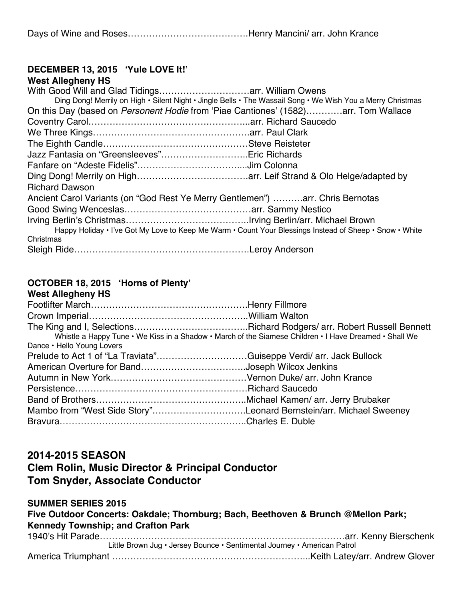Days of Wine and Roses………………………………….Henry Mancini/ arr. John Krance

#### **DECEMBER 13, 2015 'Yule LOVE It!' West Allegheny HS**

| West Allegneny HS                                                                                           |  |
|-------------------------------------------------------------------------------------------------------------|--|
|                                                                                                             |  |
| Ding Dong! Merrily on High • Silent Night • Jingle Bells • The Wassail Song • We Wish You a Merry Christmas |  |
| On this Day (based on Personent Hodie from 'Piae Cantiones' (1582)arr. Tom Wallace                          |  |
|                                                                                                             |  |
|                                                                                                             |  |
|                                                                                                             |  |
| Jazz Fantasia on "Greensleeves"Eric Richards                                                                |  |
|                                                                                                             |  |
|                                                                                                             |  |
| <b>Richard Dawson</b>                                                                                       |  |
| Ancient Carol Variants (on "God Rest Ye Merry Gentlemen") arr. Chris Bernotas                               |  |
|                                                                                                             |  |
|                                                                                                             |  |
| Happy Holiday . I've Got My Love to Keep Me Warm . Count Your Blessings Instead of Sheep . Snow . White     |  |
| Christmas                                                                                                   |  |
|                                                                                                             |  |
|                                                                                                             |  |

#### **OCTOBER 18, 2015 'Horns of Plenty' West Allegheny HS**

| Whistle a Happy Tune • We Kiss in a Shadow • March of the Siamese Children • I Have Dreamed • Shall We |  |
|--------------------------------------------------------------------------------------------------------|--|
| Dance • Hello Young Lovers                                                                             |  |
| Prelude to Act 1 of "La Traviata"Guiseppe Verdi/ arr. Jack Bullock                                     |  |
| American Overture for BandJoseph Wilcox Jenkins                                                        |  |
|                                                                                                        |  |
|                                                                                                        |  |
|                                                                                                        |  |
| Mambo from "West Side Story"Leonard Bernstein/arr. Michael Sweeney                                     |  |
|                                                                                                        |  |

## **2014-2015 SEASON**

## **Clem Rolin, Music Director & Principal Conductor Tom Snyder, Associate Conductor**

#### **SUMMER SERIES 2015 Five Outdoor Concerts: Oakdale; Thornburg; Bach, Beethoven & Brunch @Mellon Park; Kennedy Township; and Crafton Park** 1940's Hit Parade………………………………………………………………………arr. Kenny Bierschenk Little Brown Jug • Jersey Bounce • Sentimental Journey • American Patrol America Triumphant ………………………………………………………...Keith Latey/arr. Andrew Glover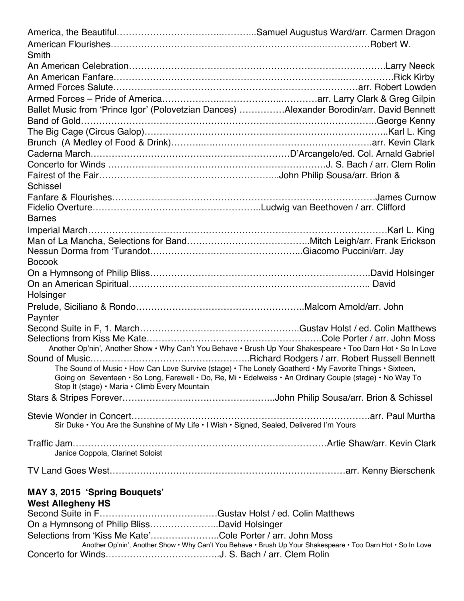| Smith                                                                                                        |                                                                                                              |
|--------------------------------------------------------------------------------------------------------------|--------------------------------------------------------------------------------------------------------------|
|                                                                                                              |                                                                                                              |
|                                                                                                              |                                                                                                              |
|                                                                                                              |                                                                                                              |
|                                                                                                              |                                                                                                              |
| Ballet Music from 'Prince Igor' (Polovetzian Dances) Alexander Borodin/arr. David Bennett                    |                                                                                                              |
|                                                                                                              |                                                                                                              |
|                                                                                                              |                                                                                                              |
|                                                                                                              |                                                                                                              |
|                                                                                                              |                                                                                                              |
|                                                                                                              |                                                                                                              |
|                                                                                                              |                                                                                                              |
| Schissel                                                                                                     |                                                                                                              |
|                                                                                                              |                                                                                                              |
|                                                                                                              |                                                                                                              |
| <b>Barnes</b>                                                                                                |                                                                                                              |
|                                                                                                              |                                                                                                              |
|                                                                                                              |                                                                                                              |
|                                                                                                              |                                                                                                              |
| <b>Bocook</b>                                                                                                |                                                                                                              |
|                                                                                                              |                                                                                                              |
|                                                                                                              |                                                                                                              |
| Holsinger                                                                                                    |                                                                                                              |
|                                                                                                              |                                                                                                              |
| Paynter                                                                                                      |                                                                                                              |
|                                                                                                              |                                                                                                              |
|                                                                                                              |                                                                                                              |
| Another Op'nin', Another Show • Why Can't You Behave • Brush Up Your Shakespeare • Too Darn Hot • So In Love |                                                                                                              |
|                                                                                                              |                                                                                                              |
| The Sound of Music • How Can Love Survive (stage) • The Lonely Goatherd • My Favorite Things • Sixteen,      |                                                                                                              |
| Going on Seventeen • So Long, Farewell • Do, Re, Mi • Edelweiss • An Ordinary Couple (stage) • No Way To     |                                                                                                              |
| Stop It (stage) • Maria • Climb Every Mountain                                                               |                                                                                                              |
|                                                                                                              |                                                                                                              |
|                                                                                                              |                                                                                                              |
| Sir Duke • You Are the Sunshine of My Life • I Wish • Signed, Sealed, Delivered I'm Yours                    |                                                                                                              |
|                                                                                                              |                                                                                                              |
|                                                                                                              |                                                                                                              |
| Janice Coppola, Clarinet Soloist                                                                             |                                                                                                              |
|                                                                                                              |                                                                                                              |
|                                                                                                              |                                                                                                              |
| MAY 3, 2015 'Spring Bouquets'                                                                                |                                                                                                              |
| <b>West Allegheny HS</b>                                                                                     |                                                                                                              |
|                                                                                                              |                                                                                                              |
| On a Hymnsong of Philip BlissDavid Holsinger                                                                 |                                                                                                              |
| Selections from 'Kiss Me Kate'Cole Porter / arr. John Moss                                                   |                                                                                                              |
|                                                                                                              | Another Op'nin', Another Show • Why Can't You Behave • Brush Up Your Shakespeare • Too Darn Hot • So In Love |

Concerto for Winds………………………………..J. S. Bach / arr. Clem Rolin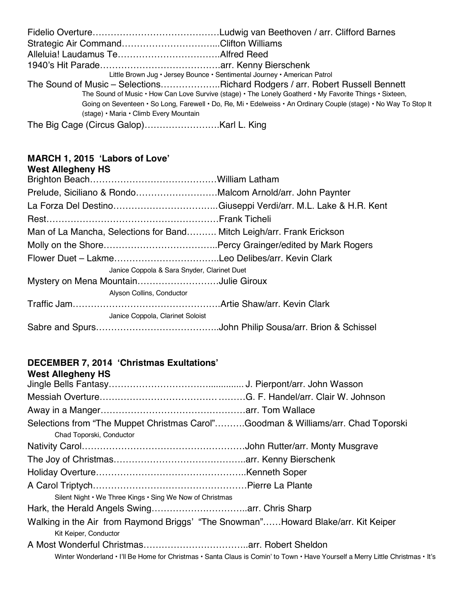|                                        | Little Brown Jug • Jersey Bounce • Sentimental Journey • American Patrol                                         |
|----------------------------------------|------------------------------------------------------------------------------------------------------------------|
|                                        | The Sound of Music – SelectionsRichard Rodgers / arr. Robert Russell Bennett                                     |
|                                        | The Sound of Music • How Can Love Survive (stage) • The Lonely Goatherd • My Favorite Things • Sixteen,          |
|                                        | Going on Seventeen · So Long, Farewell · Do, Re, Mi · Edelweiss · An Ordinary Couple (stage) · No Way To Stop It |
| (stage) • Maria • Climb Every Mountain |                                                                                                                  |
|                                        |                                                                                                                  |

#### **MARCH 1, 2015 'Labors of Love'**

| <b>West Allegheny HS</b>                                              |  |
|-----------------------------------------------------------------------|--|
|                                                                       |  |
| Prelude, Siciliano & RondoMalcom Arnold/arr. John Paynter             |  |
|                                                                       |  |
|                                                                       |  |
| Man of La Mancha, Selections for Band Mitch Leigh/arr. Frank Erickson |  |
|                                                                       |  |
|                                                                       |  |
| Janice Coppola & Sara Snyder, Clarinet Duet                           |  |
| Mystery on Mena MountainJulie Giroux                                  |  |
| Alyson Collins, Conductor                                             |  |
|                                                                       |  |
| Janice Coppola, Clarinet Soloist                                      |  |
|                                                                       |  |
|                                                                       |  |

#### **DECEMBER 7, 2014 'Christmas Exultations'**

| Selections from "The Muppet Christmas Carol"Goodman & Williams/arr. Chad Toporski                                              |
|--------------------------------------------------------------------------------------------------------------------------------|
|                                                                                                                                |
|                                                                                                                                |
|                                                                                                                                |
|                                                                                                                                |
|                                                                                                                                |
|                                                                                                                                |
| Walking in the Air from Raymond Briggs' "The Snowman"Howard Blake/arr. Kit Keiper                                              |
|                                                                                                                                |
| Winter Wonderland • I'll Be Home for Christmas • Santa Claus is Comin' to Town • Have Yourself a Merry Little Christmas • It's |
|                                                                                                                                |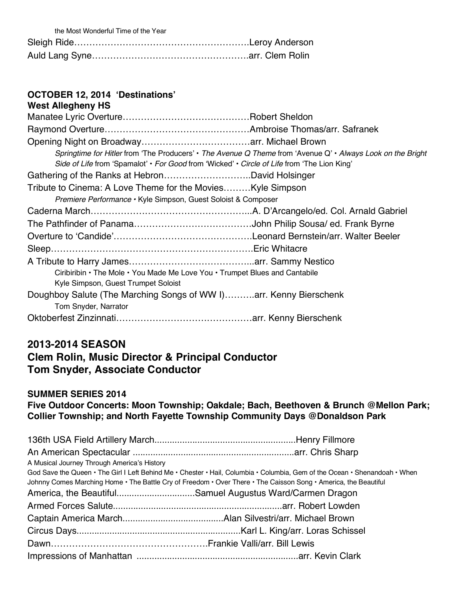| the Most Wonderful Time of the Year |  |
|-------------------------------------|--|
|                                     |  |
|                                     |  |

#### **OCTOBER 12, 2014 'Destinations' West Allegheny HS**

| <b>WEST Allegneny HS</b>                                                                    |                                                                                                             |
|---------------------------------------------------------------------------------------------|-------------------------------------------------------------------------------------------------------------|
|                                                                                             |                                                                                                             |
|                                                                                             |                                                                                                             |
|                                                                                             |                                                                                                             |
|                                                                                             | Springtime for Hitler from 'The Producers' • The Avenue Q Theme from 'Avenue Q' • Always Look on the Bright |
| Side of Life from 'Spamalot' • For Good from 'Wicked' • Circle of Life from 'The Lion King' |                                                                                                             |
|                                                                                             |                                                                                                             |
| Tribute to Cinema: A Love Theme for the Movies Kyle Simpson                                 |                                                                                                             |
| Premiere Performance • Kyle Simpson, Guest Soloist & Composer                               |                                                                                                             |
|                                                                                             |                                                                                                             |
|                                                                                             |                                                                                                             |
|                                                                                             |                                                                                                             |
|                                                                                             |                                                                                                             |
|                                                                                             |                                                                                                             |
| Ciribiribin • The Mole • You Made Me Love You • Trumpet Blues and Cantabile                 |                                                                                                             |
| Kyle Simpson, Guest Trumpet Soloist                                                         |                                                                                                             |
| Doughboy Salute (The Marching Songs of WW I)arr. Kenny Bierschenk                           |                                                                                                             |
| Tom Snyder, Narrator                                                                        |                                                                                                             |
|                                                                                             |                                                                                                             |

## **2013-2014 SEASON**

## **Clem Rolin, Music Director & Principal Conductor Tom Snyder, Associate Conductor**

#### **SUMMER SERIES 2014**

**Five Outdoor Concerts: Moon Township; Oakdale; Bach, Beethoven & Brunch @Mellon Park; Collier Township; and North Fayette Township Community Days @Donaldson Park**

| A Musical Journey Through America's History              |                                                                                                                            |
|----------------------------------------------------------|----------------------------------------------------------------------------------------------------------------------------|
|                                                          | God Save the Queen • The Girl I Left Behind Me • Chester • Hail, Columbia • Columbia, Gem of the Ocean • Shenandoah • When |
|                                                          | Johnny Comes Marching Home . The Battle Cry of Freedom . Over There . The Caisson Song . America, the Beautiful            |
| America, the BeautifulSamuel Augustus Ward/Carmen Dragon |                                                                                                                            |
|                                                          |                                                                                                                            |
|                                                          |                                                                                                                            |
|                                                          |                                                                                                                            |
|                                                          |                                                                                                                            |
|                                                          |                                                                                                                            |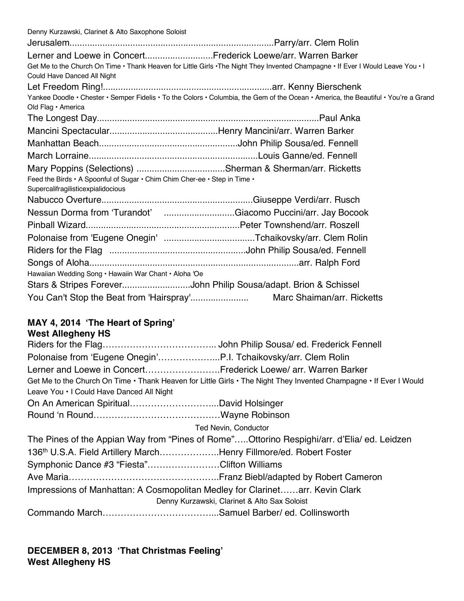Denny Kurzawski, Clarinet & Alto Saxophone Soloist Jerusalem.................................................................................Parry/arr. Clem Rolin Lerner and Loewe in Concert...........................Frederick Loewe/arr. Warren Barker Get Me to the Church On Time • Thank Heaven for Little Girls •The Night They Invented Champagne • If Ever I Would Leave You • I Could Have Danced All Night Let Freedom Ring!...................................................................arr. Kenny Bierschenk Yankee Doodle • Chester • Semper Fidelis • To the Colors • Columbia, the Gem of the Ocean • America, the Beautiful • You're a Grand Old Flag • America The Longest Day........................................................................................Paul Anka Mancini Spectacular...........................................Henry Mancini/arr. Warren Barker Manhattan Beach.......................................................John Philip Sousa/ed. Fennell March Lorraine...................................................................Louis Ganne/ed. Fennell Mary Poppins (Selections) ...................................Sherman & Sherman/arr. Ricketts Feed the Birds • A Spoonful of Sugar • Chim Chim Cher-ee • Step in Time • Supercalifragilisticexpialidocious Nabucco Overture............................................................Giuseppe Verdi/arr. Rusch Nessun Dorma from 'Turandot' ................................Giacomo Puccini/arr. Jay Bocook Pinball Wizard.............................................................Peter Townshend/arr. Roszell Polonaise from 'Eugene Onegin' ....................................Tchaikovsky/arr. Clem Rolin Riders for the Flag ......................................................John Philip Sousa/ed. Fennell Songs of Aloha...................................................................................arr. Ralph Ford Hawaiian Wedding Song • Hawaiin War Chant • Aloha 'Oe Stars & Stripes Forever...............................John Philip Sousa/adapt. Brion & Schissel You Can't Stop the Beat from 'Hairspray'....................... Marc Shaiman/arr. Ricketts

# **MAY 4, 2014 'The Heart of Spring'**

## **West Allegheny HS**

| Lerner and Loewe in ConcertFrederick Loewe/ arr. Warren Barker               |                                                                                                                    |
|------------------------------------------------------------------------------|--------------------------------------------------------------------------------------------------------------------|
| Leave You . I Could Have Danced All Night                                    | Get Me to the Church On Time • Thank Heaven for Little Girls • The Night They Invented Champagne • If Ever I Would |
|                                                                              |                                                                                                                    |
|                                                                              |                                                                                                                    |
|                                                                              | Ted Nevin, Conductor                                                                                               |
|                                                                              | The Pines of the Appian Way from "Pines of Rome"Ottorino Respighi/arr. d'Elia/ ed. Leidzen                         |
| 136th U.S.A. Field Artillery MarchHenry Fillmore/ed. Robert Foster           |                                                                                                                    |
| Symphonic Dance #3 "Fiesta"Clifton Williams                                  |                                                                                                                    |
|                                                                              |                                                                                                                    |
| Impressions of Manhattan: A Cosmopolitan Medley for Clarinetarr. Kevin Clark |                                                                                                                    |
|                                                                              | Denny Kurzawski, Clarinet & Alto Sax Soloist                                                                       |
|                                                                              |                                                                                                                    |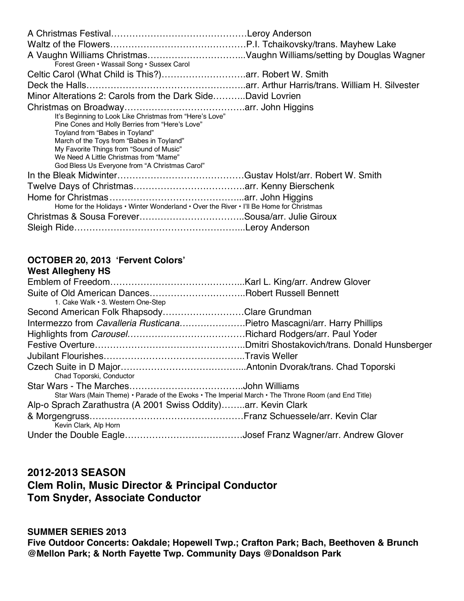| Forest Green • Wassail Song • Sussex Carol                                                                                                                                                                                                                                                                                          |  |
|-------------------------------------------------------------------------------------------------------------------------------------------------------------------------------------------------------------------------------------------------------------------------------------------------------------------------------------|--|
|                                                                                                                                                                                                                                                                                                                                     |  |
|                                                                                                                                                                                                                                                                                                                                     |  |
| Minor Alterations 2: Carols from the Dark SideDavid Lovrien                                                                                                                                                                                                                                                                         |  |
|                                                                                                                                                                                                                                                                                                                                     |  |
| It's Beginning to Look Like Christmas from "Here's Love"<br>Pine Cones and Holly Berries from "Here's Love"<br>Toyland from "Babes in Toyland"<br>March of the Toys from "Babes in Toyland"<br>My Favorite Things from "Sound of Music"<br>We Need A Little Christmas from "Mame"<br>God Bless Us Everyone from "A Christmas Carol" |  |
|                                                                                                                                                                                                                                                                                                                                     |  |
|                                                                                                                                                                                                                                                                                                                                     |  |
|                                                                                                                                                                                                                                                                                                                                     |  |
| Home for the Holidays • Winter Wonderland • Over the River • I'll Be Home for Christmas                                                                                                                                                                                                                                             |  |
|                                                                                                                                                                                                                                                                                                                                     |  |
|                                                                                                                                                                                                                                                                                                                                     |  |

#### **OCTOBER 20, 2013 'Fervent Colors' West Allegheny HS**

| <b>WEST ARRIVIERTY NO</b>                                                                           |  |
|-----------------------------------------------------------------------------------------------------|--|
|                                                                                                     |  |
|                                                                                                     |  |
| 1. Cake Walk . 3. Western One-Step                                                                  |  |
| Second American Folk RhapsodyClare Grundman                                                         |  |
| Intermezzo from Cavalleria RusticanaPietro Mascagni/arr. Harry Phillips                             |  |
|                                                                                                     |  |
|                                                                                                     |  |
|                                                                                                     |  |
|                                                                                                     |  |
| Chad Toporski, Conductor                                                                            |  |
|                                                                                                     |  |
| Star Wars (Main Theme) • Parade of the Ewoks • The Imperial March • The Throne Room (and End Title) |  |
| Alp-o Sprach Zarathustra (A 2001 Swiss Oddity)arr. Kevin Clark                                      |  |
|                                                                                                     |  |
| Kevin Clark, Alp Horn                                                                               |  |
|                                                                                                     |  |

## **2012-2013 SEASON Clem Rolin, Music Director & Principal Conductor Tom Snyder, Associate Conductor**

#### **SUMMER SERIES 2013**

**Five Outdoor Concerts: Oakdale; Hopewell Twp.; Crafton Park; Bach, Beethoven & Brunch @Mellon Park; & North Fayette Twp. Community Days @Donaldson Park**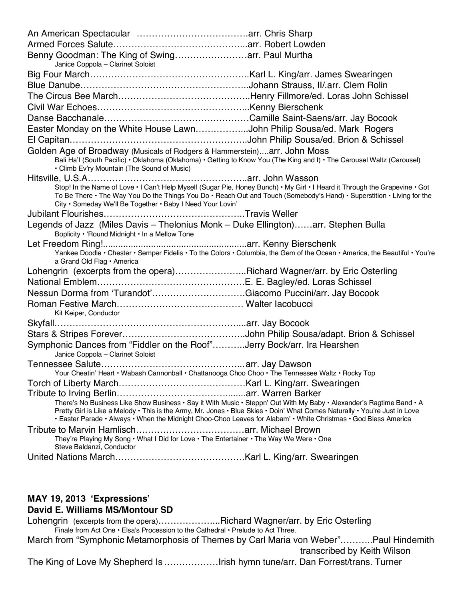An American Spectacular ……………………………….arr. Chris Sharp Armed Forces Salute……………………………………...arr. Robert Lowden Benny Goodman: The King of Swing……………………arr. Paul Murtha Janice Coppola – Clarinet Soloist Big Four March……………………………………………..Karl L. King/arr. James Swearingen Blue Danube………………………………………………..Johann Strauss, II/.arr. Clem Rolin The Circus Bee March……………………………………..Henry Fillmore/ed. Loras John Schissel Civil War Echoes…………………………………………...Kenny Bierschenk Danse Bacchanale…………………………………………Camille Saint-Saens/arr. Jay Bocook Easter Monday on the White House Lawn……………...John Philip Sousa/ed. Mark Rogers El Capitan…………………………………………………..John Philip Sousa/ed. Brion & Schissel Golden Age of Broadway (Musicals of Rodgers & Hammerstein)….arr. John Moss Bali Ha'I (South Pacific) • Oklahoma (Oklahoma) • Getting to Know You (The King and I) • The Carousel Waltz (Carousel) • Climb Ev'ry Mountain (The Sound of Music) Hitsville, U.S.A……………………………………………..arr. John Wasson Stop! In the Name of Love • I Can't Help Myself (Sugar Pie, Honey Bunch) • My Girl • I Heard it Through the Grapevine • Got To Be There • The Way You Do the Things You Do • Reach Out and Touch (Somebody's Hand) • Superstition • Living for the City • Someday We'll Be Together • Baby I Need Your Lovin' Jubilant Flourishes………………………………………..Travis Weller Legends of Jazz (Miles Davis – Thelonius Monk – Duke Ellington)……arr. Stephen Bulla Boplicity • 'Round Midnight • In a Mellow Tone Let Freedom Ring!.........................................................arr. Kenny Bierschenk Yankee Doodle • Chester • Semper Fidelis • To the Colors • Columbia, the Gem of the Ocean • America, the Beautiful • You're a Grand Old Flag • America Lohengrin (excerpts from the opera)...........................Richard Wagner/arr. by Eric Osterling National Emblem………………………………………….E. E. Bagley/ed. Loras Schissel Nessun Dorma from 'Turandot'………………………….Giacomo Puccini/arr. Jay Bocook Roman Festive March…………………………………… Walter Iacobucci Kit Keiper, Conductor Skyfall……………………………………………………....arr. Jay Bocook Stars & Stripes Forever…………………………………..John Philip Sousa/adapt. Brion & Schissel Symphonic Dances from "Fiddler on the Roof"………..Jerry Bock/arr. Ira Hearshen Janice Coppola – Clarinet Soloist Tennessee Salute………………………………………...arr. Jay Dawson Your Cheatin' Heart • Wabash Cannonball • Chattanooga Choo Choo • The Tennessee Waltz • Rocky Top Torch of Liberty March……………………………………Karl L. King/arr. Swearingen Tribute to Irving Berlin………………………………........arr. Warren Barker There's No Business Like Show Business • Say it With Music • Steppn' Out With My Baby • Alexander's Ragtime Band • A Pretty Girl is Like a Melody • This is the Army, Mr. Jones • Blue Skies • Doin' What Comes Naturally • You're Just in Love • Easter Parade • Always • When the Midnight Choo-Choo Leaves for Alabam' • White Christmas • God Bless America Tribute to Marvin Hamlisch………………………………arr. Michael Brown They're Playing My Song • What I Did for Love • The Entertainer • The Way We Were • One Steve Baldanzi, Conductor United Nations March…………………………………….Karl L. King/arr. Swearingen

#### **MAY 19, 2013 'Expressions' David E. Williams MS/Montour SD**

Lohengrin (excerpts from the opera)…………………..Richard Wagner/arr. by Eric Osterling Finale from Act One • Elsa's Procession to the Cathedral • Prelude to Act Three. March from "Symphonic Metamorphosis of Themes by Carl Maria von Weber"………..Paul Hindemith transcribed by Keith Wilson The King of Love My Shepherd Is………………Irish hymn tune/arr. Dan Forrest/trans. Turner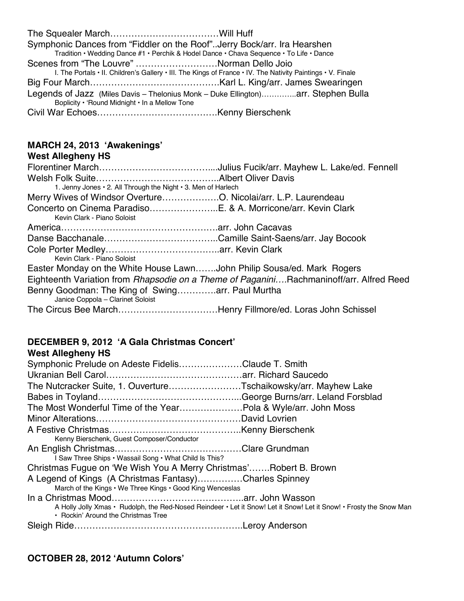| Symphonic Dances from "Fiddler on the Roof"Jerry Bock/arr. Ira Hearshen                                     |  |
|-------------------------------------------------------------------------------------------------------------|--|
| Tradition • Wedding Dance #1 • Perchik & Hodel Dance • Chava Sequence • To Life • Dance                     |  |
| Scenes from "The Louvre" Norman Dello Joio                                                                  |  |
| I. The Portals • II. Children's Gallery • III. The Kings of France • IV. The Nativity Paintings • V. Finale |  |
|                                                                                                             |  |
| Legends of Jazz (Miles Davis - Thelonius Monk - Duke Ellington)arr. Stephen Bulla                           |  |
| Boplicity • 'Round Midnight • In a Mellow Tone                                                              |  |
|                                                                                                             |  |

## **MARCH 24, 2013 'Awakenings'**

### **West Allegheny HS**

| 1. Jenny Jones . 2. All Through the Night . 3. Men of Harlech                                |                                                                                         |
|----------------------------------------------------------------------------------------------|-----------------------------------------------------------------------------------------|
| Merry Wives of Windsor OvertureO. Nicolai/arr. L.P. Laurendeau                               |                                                                                         |
| Concerto on Cinema ParadisoE. & A. Morricone/arr. Kevin Clark<br>Kevin Clark - Piano Soloist |                                                                                         |
|                                                                                              |                                                                                         |
|                                                                                              |                                                                                         |
|                                                                                              |                                                                                         |
|                                                                                              |                                                                                         |
| Kevin Clark - Piano Soloist                                                                  |                                                                                         |
| Easter Monday on the White House LawnJohn Philip Sousa/ed. Mark Rogers                       |                                                                                         |
|                                                                                              | Eighteenth Variation from Rhapsodie on a Theme of PaganiniRachmaninoff/arr. Alfred Reed |
| Benny Goodman: The King of Swingarr. Paul Murtha<br>Janice Coppola - Clarinet Soloist        |                                                                                         |
| The Circus Bee MarchHenry Fillmore/ed. Loras John Schissel                                   |                                                                                         |

#### **DECEMBER 9, 2012 'A Gala Christmas Concert' West Allegheny HS**

| <b>WEST ARRIVIBLY NO</b>                                                                                                                                   |  |
|------------------------------------------------------------------------------------------------------------------------------------------------------------|--|
| Symphonic Prelude on Adeste FidelisClaude T. Smith                                                                                                         |  |
|                                                                                                                                                            |  |
| The Nutcracker Suite, 1. OuvertureTschaikowsky/arr. Mayhew Lake                                                                                            |  |
|                                                                                                                                                            |  |
| The Most Wonderful Time of the YearPola & Wyle/arr. John Moss                                                                                              |  |
|                                                                                                                                                            |  |
|                                                                                                                                                            |  |
| Kenny Bierschenk, Guest Composer/Conductor                                                                                                                 |  |
|                                                                                                                                                            |  |
| I Saw Three Ships • Wassail Song • What Child Is This?                                                                                                     |  |
| Christmas Fugue on 'We Wish You A Merry Christmas'Robert B. Brown                                                                                          |  |
| A Legend of Kings (A Christmas Fantasy)Charles Spinney                                                                                                     |  |
| March of the Kings . We Three Kings . Good King Wenceslas                                                                                                  |  |
|                                                                                                                                                            |  |
| A Holly Jolly Xmas · Rudolph, the Red-Nosed Reindeer · Let it Snow! Let it Snow! Let it Snow! • Frosty the Snow Man<br>• Rockin' Around the Christmas Tree |  |
|                                                                                                                                                            |  |
|                                                                                                                                                            |  |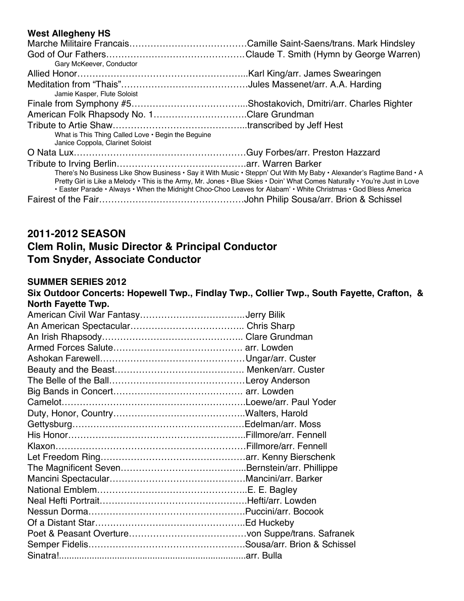#### **West Allegheny HS**

| Gary McKeever, Conductor                                                                                                                                                                                                                                                                                                                                              |  |
|-----------------------------------------------------------------------------------------------------------------------------------------------------------------------------------------------------------------------------------------------------------------------------------------------------------------------------------------------------------------------|--|
|                                                                                                                                                                                                                                                                                                                                                                       |  |
| Jamie Kasper, Flute Soloist                                                                                                                                                                                                                                                                                                                                           |  |
|                                                                                                                                                                                                                                                                                                                                                                       |  |
| American Folk Rhapsody No. 1Clare Grundman                                                                                                                                                                                                                                                                                                                            |  |
|                                                                                                                                                                                                                                                                                                                                                                       |  |
| What is This Thing Called Love . Begin the Beguine<br>Janice Coppola, Clarinet Soloist                                                                                                                                                                                                                                                                                |  |
|                                                                                                                                                                                                                                                                                                                                                                       |  |
| There's No Business Like Show Business · Say it With Music · Steppn' Out With My Baby · Alexander's Ragtime Band · A<br>Pretty Girl is Like a Melody • This is the Army, Mr. Jones • Blue Skies • Doin' What Comes Naturally • You're Just in Love<br>• Easter Parade • Always • When the Midnight Choo-Choo Leaves for Alabam' • White Christmas • God Bless America |  |

## **2011-2012 SEASON**

## **Clem Rolin, Music Director & Principal Conductor Tom Snyder, Associate Conductor**

#### **SUMMER SERIES 2012**

**Six Outdoor Concerts: Hopewell Twp., Findlay Twp., Collier Twp., South Fayette, Crafton, & North Fayette Twp.**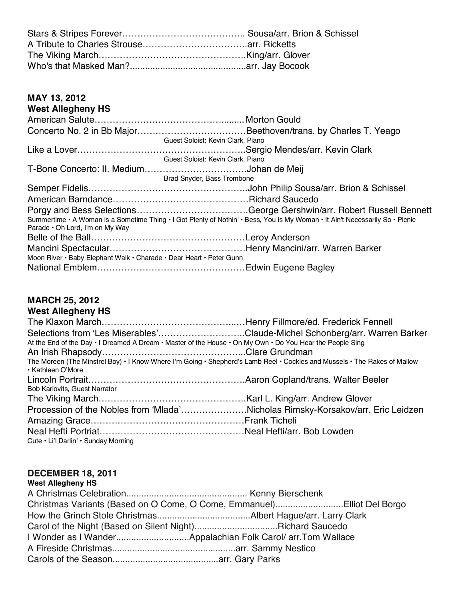## **MAY 13, 2012**

## **West Allegheny HS**

| Guest Soloist: Kevin Clark, Piano                                   |                                                                                                                               |
|---------------------------------------------------------------------|-------------------------------------------------------------------------------------------------------------------------------|
|                                                                     |                                                                                                                               |
| Guest Soloist: Kevin Clark, Piano                                   |                                                                                                                               |
|                                                                     |                                                                                                                               |
| Brad Snyder, Bass Trombone                                          |                                                                                                                               |
|                                                                     |                                                                                                                               |
|                                                                     |                                                                                                                               |
|                                                                     |                                                                                                                               |
|                                                                     | Summertime · A Woman is a Sometime Thing · I Got Plenty of Nothin' · Bess, You is My Woman · It Ain't Necessarily So · Picnic |
| Parade . Oh Lord, I'm on My Way                                     |                                                                                                                               |
|                                                                     |                                                                                                                               |
|                                                                     |                                                                                                                               |
| Moon River • Baby Elephant Walk • Charade • Dear Heart • Peter Gunn |                                                                                                                               |
|                                                                     |                                                                                                                               |

# **MARCH 25, 2012**

**West Allegheny HS** The Klaxon March……………………………………...…Henry Fillmore/ed. Frederick Fennell Selections from 'Les Miserables'………………………..Claude-Michel Schonberg/arr. Warren Barker At the End of the Day • I Dreamed A Dream • Master of the House • On My Own • Do You Hear the People Sing An Irish Rhapsody………………………………………...Clare Grundman The Moreen (The Minstrel Boy) • I Know Where I'm Going • Shepherd's Lamb Reel • Cockles and Mussels • The Rakes of Mallow • Kathleen O'More Lincoln Portrait…………………………………………….Aaron Copland/trans. Walter Beeler Bob Karlovits, Guest Narrator The Viking March………………………………………….Karl L. King/arr. Andrew Glover Procession of the Nobles from 'Mlada'………………….Nicholas Rimsky-Korsakov/arr. Eric Leidzen Amazing Grace……………………………………………Frank Ticheli Neal Hefti Portriat…………………………………………Neal Hefti/arr. Bob Lowden Cute • Li'l Darlin' • Sunday Morning

#### **DECEMBER 18, 2011 West Allegheny HS**

| <b>WEST ARRIGHTLY NO</b> |                                                                        |
|--------------------------|------------------------------------------------------------------------|
|                          |                                                                        |
|                          | Christmas Variants (Based on O Come, O Come, Emmanuel)Elliot Del Borgo |
|                          |                                                                        |
|                          | Carol of the Night (Based on Silent Night)Richard Saucedo              |
|                          |                                                                        |
|                          |                                                                        |
|                          |                                                                        |
|                          |                                                                        |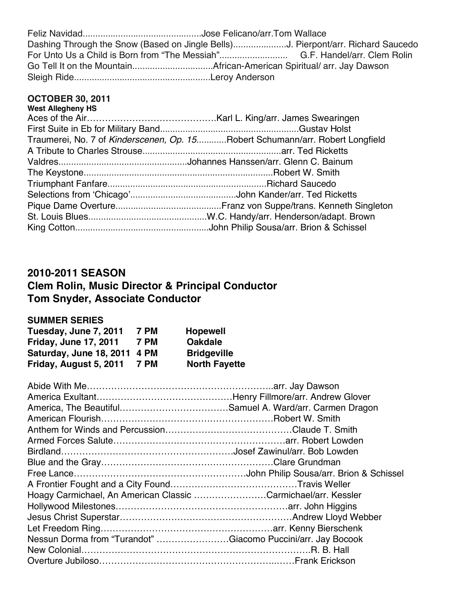| Dashing Through the Snow (Based on Jingle Bells)J. Pierpont/arr. Richard Saucedo |  |
|----------------------------------------------------------------------------------|--|
|                                                                                  |  |
|                                                                                  |  |
|                                                                                  |  |

#### **OCTOBER 30, 2011**

| <b>West Allegheny HS</b> |                                                                               |
|--------------------------|-------------------------------------------------------------------------------|
|                          |                                                                               |
|                          |                                                                               |
|                          | Traumerei, No. 7 of Kinderscenen, Op. 15Robert Schumann/arr. Robert Longfield |
|                          |                                                                               |
|                          |                                                                               |
|                          |                                                                               |
|                          |                                                                               |
|                          |                                                                               |
|                          |                                                                               |
|                          |                                                                               |
|                          |                                                                               |
|                          |                                                                               |

## **2010-2011 SEASON**

# **Clem Rolin, Music Director & Principal Conductor Tom Snyder, Associate Conductor**

### **SUMMER SERIES**

| Tuesday, June 7, 2011        | 7 PM        | <b>Hopewell</b>      |
|------------------------------|-------------|----------------------|
| <b>Friday, June 17, 2011</b> | <b>7 PM</b> | <b>Oakdale</b>       |
| Saturday, June 18, 2011 4 PM |             | <b>Bridgeville</b>   |
| Friday, August 5, 2011       | 7 PM        | <b>North Fayette</b> |

| Hoagy Carmichael, An American Classic Carmichael/arr. Kessler |  |
|---------------------------------------------------------------|--|
|                                                               |  |
|                                                               |  |
|                                                               |  |
| Nessun Dorma from "Turandot" Giacomo Puccini/arr. Jay Bocook  |  |
|                                                               |  |
|                                                               |  |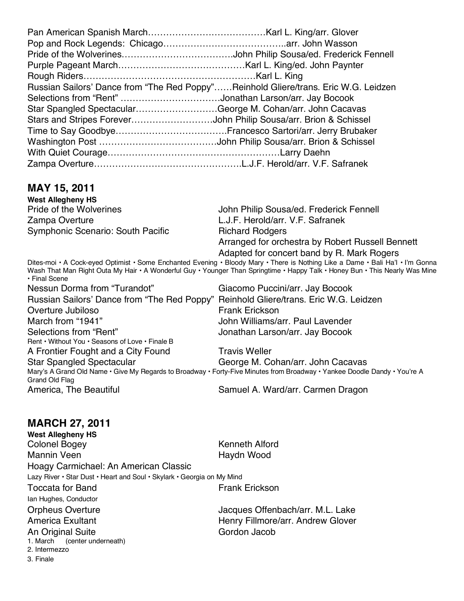| Russian Sailors' Dance from "The Red Poppy"Reinhold Gliere/trans. Eric W.G. Leidzen |  |
|-------------------------------------------------------------------------------------|--|
| Selections from "Rent" Jonathan Larson/arr. Jay Bocook                              |  |
| Star Spangled SpectacularGeorge M. Cohan/arr. John Cacavas                          |  |
|                                                                                     |  |
|                                                                                     |  |
|                                                                                     |  |
|                                                                                     |  |
|                                                                                     |  |

## **MAY 15, 2011**

**West Allegheny HS** Zampa Overture L.J.F. Herold/arr. V.F. Safranek Symphonic Scenario: South Pacific **Richard Rodgers** 

John Philip Sousa/ed. Frederick Fennell Arranged for orchestra by Robert Russell Bennett Adapted for concert band by R. Mark Rogers

Dites-moi • A Cock-eyed Optimist • Some Enchanted Evening • Bloody Mary • There is Nothing Like a Dame • Bali Ha'I • I'm Gonna Wash That Man Right Outa My Hair • A Wonderful Guy • Younger Than Springtime • Happy Talk • Honey Bun • This Nearly Was Mine • Final Scene Nessun Dorma from "Turandot" Giacomo Puccini/arr. Jay Bocook

Russian Sailors' Dance from "The Red Poppy" Reinhold Gliere/trans. Eric W.G. Leidzen Overture Jubiloso **Frank Existence Frank Erickson** March from "1941" John Williams/arr. Paul Lavender Selections from "Rent" Selections from "Rent" Jonathan Larson/arr. Jay Bocook Rent • Without You • Seasons of Love • Finale B A Frontier Fought and a City Found Travis Weller Star Spangled Spectacular George M. Cohan/arr. John Cacavas Mary's A Grand Old Name • Give My Regards to Broadway • Forty-Five Minutes from Broadway • Yankee Doodle Dandy • You're A Grand Old Flag America, The Beautiful Samuel A. Ward/arr. Carmen Dragon

## **MARCH 27, 2011**

**West Allegheny HS** Colonel Bogey Kenneth Alford Mannin Veen **Haydn** Wood Hoagy Carmichael: An American Classic Lazy River • Star Dust • Heart and Soul • Skylark • Georgia on My Mind Toccata for Band Frank Erickson

Ian Hughes, Conductor

An Original Suite Gordon Jacob

1. March (center underneath) 2. Intermezzo

3. Finale

Orpheus Overture Jacques Offenbach/arr. M.L. Lake America Exultant **Henry Fillmore/arr.** Andrew Glover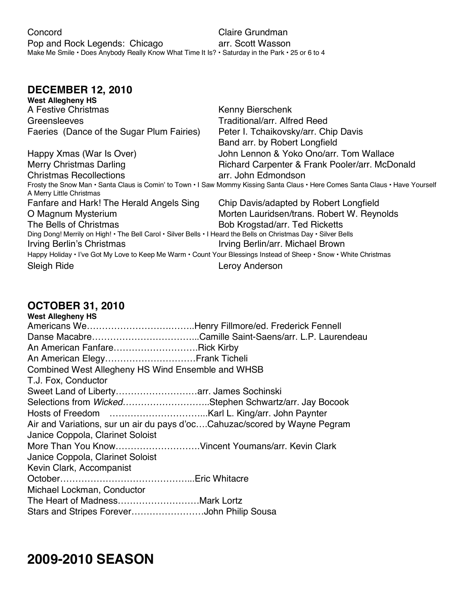## **DECEMBER 12, 2010**

| West Allegheny HS                                                                                                 |                                                                                                                                |
|-------------------------------------------------------------------------------------------------------------------|--------------------------------------------------------------------------------------------------------------------------------|
| A Festive Christmas                                                                                               | Kenny Bierschenk                                                                                                               |
| Greensleeves                                                                                                      | <b>Traditional/arr. Alfred Reed</b>                                                                                            |
| Faeries (Dance of the Sugar Plum Fairies)                                                                         | Peter I. Tchaikovsky/arr. Chip Davis                                                                                           |
|                                                                                                                   | Band arr. by Robert Longfield                                                                                                  |
| Happy Xmas (War Is Over)                                                                                          | John Lennon & Yoko Ono/arr, Tom Wallace                                                                                        |
| <b>Merry Christmas Darling</b>                                                                                    | Richard Carpenter & Frank Pooler/arr. McDonald                                                                                 |
| <b>Christmas Recollections</b>                                                                                    | arr. John Edmondson                                                                                                            |
| A Merry Little Christmas                                                                                          | Frosty the Snow Man · Santa Claus is Comin' to Town · I Saw Mommy Kissing Santa Claus · Here Comes Santa Claus · Have Yourself |
| Fanfare and Hark! The Herald Angels Sing                                                                          | Chip Davis/adapted by Robert Longfield                                                                                         |
| O Magnum Mysterium                                                                                                | Morten Lauridsen/trans. Robert W. Reynolds                                                                                     |
| The Bells of Christmas                                                                                            | <b>Bob Krogstad/arr. Ted Ricketts</b>                                                                                          |
| Ding Dong! Merrily on High! • The Bell Carol • Silver Bells • I Heard the Bells on Christmas Day • Silver Bells   |                                                                                                                                |
| Irving Berlin's Christmas                                                                                         | Irving Berlin/arr. Michael Brown                                                                                               |
| Happy Holiday • I've Got My Love to Keep Me Warm • Count Your Blessings Instead of Sheep • Snow • White Christmas |                                                                                                                                |
| <b>Sleigh Ride</b>                                                                                                | Leroy Anderson                                                                                                                 |
|                                                                                                                   |                                                                                                                                |

## **OCTOBER 31, 2010**

| <b>West Allegheny HS</b>                                                  |  |
|---------------------------------------------------------------------------|--|
|                                                                           |  |
|                                                                           |  |
| An American FanfareRick Kirby                                             |  |
| An American Elegy Frank Ticheli                                           |  |
| Combined West Allegheny HS Wind Ensemble and WHSB                         |  |
| T.J. Fox, Conductor                                                       |  |
|                                                                           |  |
| Selections from WickedStephen Schwartz/arr. Jay Bocook                    |  |
|                                                                           |  |
| Air and Variations, sur un air du pays d'ocCahuzac/scored by Wayne Pegram |  |
| Janice Coppola, Clarinet Soloist                                          |  |
| More Than You KnowVincent Youmans/arr. Kevin Clark                        |  |
| Janice Coppola, Clarinet Soloist                                          |  |
| Kevin Clark, Accompanist                                                  |  |
|                                                                           |  |
| Michael Lockman, Conductor                                                |  |
|                                                                           |  |
| Stars and Stripes ForeverJohn Philip Sousa                                |  |

# **2009-2010 SEASON**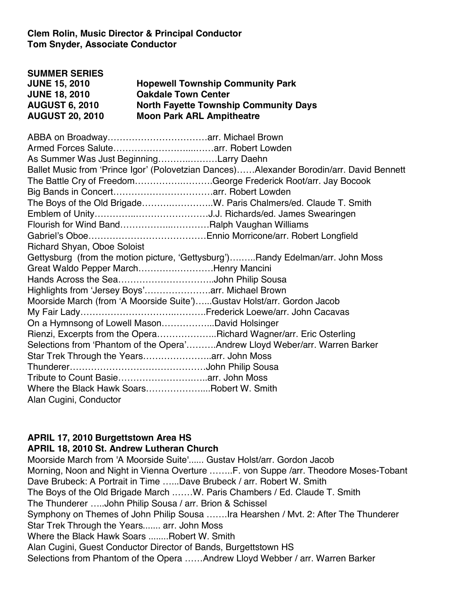**Clem Rolin, Music Director & Principal Conductor Tom Snyder, Associate Conductor**

| <b>SUMMER SERIES</b>   |                                              |
|------------------------|----------------------------------------------|
| <b>JUNE 15, 2010</b>   | <b>Hopewell Township Community Park</b>      |
| <b>JUNE 18, 2010</b>   | <b>Oakdale Town Center</b>                   |
| <b>AUGUST 6, 2010</b>  | <b>North Fayette Township Community Days</b> |
| <b>AUGUST 20, 2010</b> | <b>Moon Park ARL Ampitheatre</b>             |

| As Summer Was Just BeginningLarry Daehn                                |                                                                                          |
|------------------------------------------------------------------------|------------------------------------------------------------------------------------------|
|                                                                        | Ballet Music from 'Prince Igor' (Polovetzian Dances)Alexander Borodin/arr. David Bennett |
| The Battle Cry of FreedomGeorge Frederick Root/arr. Jay Bocook         |                                                                                          |
|                                                                        |                                                                                          |
| The Boys of the Old BrigadeW. Paris Chalmers/ed. Claude T. Smith       |                                                                                          |
|                                                                        |                                                                                          |
| Flourish for Wind BandRalph Vaughan Williams                           |                                                                                          |
|                                                                        |                                                                                          |
| <b>Richard Shyan, Oboe Soloist</b>                                     |                                                                                          |
|                                                                        | Gettysburg (from the motion picture, 'Gettysburg')Randy Edelman/arr. John Moss           |
| Great Waldo Pepper MarchHenry Mancini                                  |                                                                                          |
|                                                                        |                                                                                          |
| Highlights from 'Jersey Boys'arr. Michael Brown                        |                                                                                          |
| Moorside March (from 'A Moorside Suite')Gustav Holst/arr. Gordon Jacob |                                                                                          |
|                                                                        |                                                                                          |
| On a Hymnsong of Lowell MasonDavid Holsinger                           |                                                                                          |
| Rienzi, Excerpts from the OperaRichard Wagner/arr. Eric Osterling      |                                                                                          |
|                                                                        | Selections from 'Phantom of the Opera'Andrew Lloyd Weber/arr. Warren Barker              |
|                                                                        |                                                                                          |
|                                                                        |                                                                                          |
|                                                                        |                                                                                          |
| Where the Black Hawk SoarsRobert W. Smith                              |                                                                                          |
| Alan Cugini, Conductor                                                 |                                                                                          |

## **APRIL 17, 2010 Burgettstown Area HS**

#### **APRIL 18, 2010 St. Andrew Lutheran Church**

Moorside March from 'A Moorside Suite'...... Gustav Holst/arr. Gordon Jacob Morning, Noon and Night in Vienna Overture ……..F. von Suppe /arr. Theodore Moses-Tobant Dave Brubeck: A Portrait in Time …...Dave Brubeck / arr. Robert W. Smith The Boys of the Old Brigade March .……W. Paris Chambers / Ed. Claude T. Smith The Thunderer …..John Philip Sousa / arr. Brion & Schissel Symphony on Themes of John Philip Sousa …….Ira Hearshen / Mvt. 2: After The Thunderer Star Trek Through the Years....... arr. John Moss Where the Black Hawk Soars ........Robert W. Smith Alan Cugini, Guest Conductor Director of Bands, Burgettstown HS Selections from Phantom of the Opera ……Andrew Lloyd Webber / arr. Warren Barker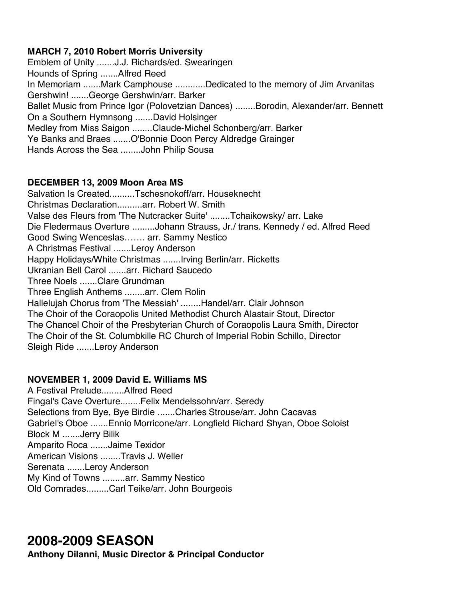### **MARCH 7, 2010 Robert Morris University**

Emblem of Unity .......J.J. Richards/ed. Swearingen Hounds of Spring .......Alfred Reed In Memoriam .......Mark Camphouse ............Dedicated to the memory of Jim Arvanitas Gershwin! .......George Gershwin/arr. Barker Ballet Music from Prince Igor (Polovetzian Dances) ........Borodin, Alexander/arr. Bennett On a Southern Hymnsong .......David Holsinger Medley from Miss Saigon ........Claude-Michel Schonberg/arr. Barker Ye Banks and Braes .......O'Bonnie Doon Percy Aldredge Grainger Hands Across the Sea ........John Philip Sousa

### **DECEMBER 13, 2009 Moon Area MS**

Salvation Is Created..........Tschesnokoff/arr. Houseknecht Christmas Declaration..........arr. Robert W. Smith Valse des Fleurs from 'The Nutcracker Suite' ........Tchaikowsky/ arr. Lake Die Fledermaus Overture .........Johann Strauss, Jr./ trans. Kennedy / ed. Alfred Reed Good Swing Wenceslas……. arr. Sammy Nestico A Christmas Festival .......Leroy Anderson Happy Holidays/White Christmas .......Irving Berlin/arr. Ricketts Ukranian Bell Carol .......arr. Richard Saucedo Three Noels .......Clare Grundman Three English Anthems ........arr. Clem Rolin Hallelujah Chorus from 'The Messiah' ........Handel/arr. Clair Johnson The Choir of the Coraopolis United Methodist Church Alastair Stout, Director The Chancel Choir of the Presbyterian Church of Coraopolis Laura Smith, Director The Choir of the St. Columbkille RC Church of Imperial Robin Schillo, Director Sleigh Ride .......Leroy Anderson

## **NOVEMBER 1, 2009 David E. Williams MS**

A Festival Prelude.........Alfred Reed Fingal's Cave Overture........Felix Mendelssohn/arr. Seredy Selections from Bye, Bye Birdie .......Charles Strouse/arr. John Cacavas Gabriel's Oboe .......Ennio Morricone/arr. Longfield Richard Shyan, Oboe Soloist Block M .......Jerry Bilik Amparito Roca .......Jaime Texidor American Visions ........Travis J. Weller Serenata .......Leroy Anderson My Kind of Towns .........arr. Sammy Nestico Old Comrades.........Carl Teike/arr. John Bourgeois

# **2008-2009 SEASON**

**Anthony DiIanni, Music Director & Principal Conductor**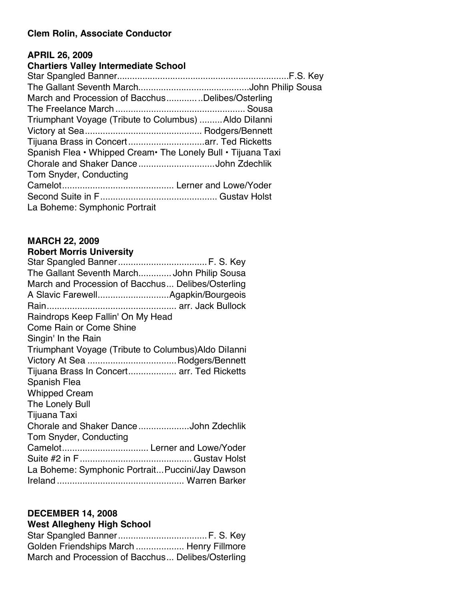#### **Clem Rolin, Associate Conductor**

#### **APRIL 26, 2009**

## **Chartiers Valley Intermediate School**

| March and Procession of BacchusDelibes/Osterling              |  |
|---------------------------------------------------------------|--|
|                                                               |  |
| Triumphant Voyage (Tribute to Columbus)  Aldo Dilanni         |  |
|                                                               |  |
|                                                               |  |
| Spanish Flea • Whipped Cream • The Lonely Bull • Tijuana Taxi |  |
| Chorale and Shaker DanceJohn Zdechlik                         |  |
| Tom Snyder, Conducting                                        |  |
|                                                               |  |
|                                                               |  |
| La Boheme: Symphonic Portrait                                 |  |

## **MARCH 22, 2009**

## **Robert Morris University**

## **DECEMBER 14, 2008**

# **West Allegheny High School**

| Golden Friendships March  Henry Fillmore          |  |
|---------------------------------------------------|--|
| March and Procession of Bacchus Delibes/Osterling |  |